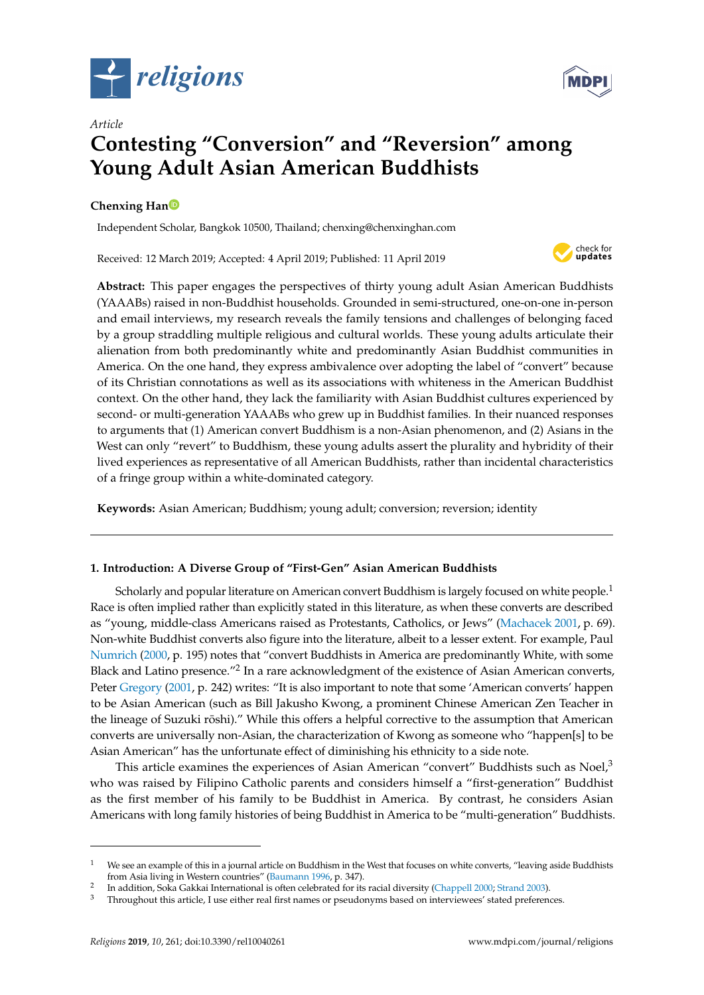



# **Contesting "Conversion" and "Reversion" among Young Adult Asian American Buddhists**

# **Chenxing Ha[n](https://orcid.org/0000-0002-8972-1124)**

*Article*

Independent Scholar, Bangkok 10500, Thailand; chenxing@chenxinghan.com

Received: 12 March 2019; Accepted: 4 April 2019; Published: 11 April 2019



**Abstract:** This paper engages the perspectives of thirty young adult Asian American Buddhists (YAAABs) raised in non-Buddhist households. Grounded in semi-structured, one-on-one in-person and email interviews, my research reveals the family tensions and challenges of belonging faced by a group straddling multiple religious and cultural worlds. These young adults articulate their alienation from both predominantly white and predominantly Asian Buddhist communities in America. On the one hand, they express ambivalence over adopting the label of "convert" because of its Christian connotations as well as its associations with whiteness in the American Buddhist context. On the other hand, they lack the familiarity with Asian Buddhist cultures experienced by second- or multi-generation YAAABs who grew up in Buddhist families. In their nuanced responses to arguments that (1) American convert Buddhism is a non-Asian phenomenon, and (2) Asians in the West can only "revert" to Buddhism, these young adults assert the plurality and hybridity of their lived experiences as representative of all American Buddhists, rather than incidental characteristics of a fringe group within a white-dominated category.

**Keywords:** Asian American; Buddhism; young adult; conversion; reversion; identity

# **1. Introduction: A Diverse Group of "First-Gen" Asian American Buddhists**

Scholarly and popular literature on American convert Buddhism is largely focused on white people.<sup>1</sup> Race is often implied rather than explicitly stated in this literature, as when these converts are described as "young, middle-class Americans raised as Protestants, Catholics, or Jews" [\(Machacek](#page-16-0) [2001,](#page-16-0) p. 69). Non-white Buddhist converts also figure into the literature, albeit to a lesser extent. For example, Paul [Numrich](#page-17-0) [\(2000,](#page-17-0) p. 195) notes that "convert Buddhists in America are predominantly White, with some Black and Latino presence."<sup>2</sup> In a rare acknowledgment of the existence of Asian American converts, Peter [Gregory](#page-16-1) [\(2001,](#page-16-1) p. 242) writes: "It is also important to note that some 'American converts' happen to be Asian American (such as Bill Jakusho Kwong, a prominent Chinese American Zen Teacher in the lineage of Suzuki rōshi)." While this offers a helpful corrective to the assumption that American converts are universally non-Asian, the characterization of Kwong as someone who "happen[s] to be Asian American" has the unfortunate effect of diminishing his ethnicity to a side note.

This article examines the experiences of Asian American "convert" Buddhists such as  $N$ oel $\lambda^3$ who was raised by Filipino Catholic parents and considers himself a "first-generation" Buddhist as the first member of his family to be Buddhist in America. By contrast, he considers Asian Americans with long family histories of being Buddhist in America to be "multi-generation" Buddhists.

<sup>&</sup>lt;sup>1</sup> We see an example of this in a journal article on Buddhism in the West that focuses on white converts, "leaving aside Buddhists" from Asia living in Western countries" [\(Baumann](#page-16-2) [1996,](#page-16-2) p. 347).

<sup>2</sup> In addition, Soka Gakkai International is often celebrated for its racial diversity [\(Chappell](#page-16-3) [2000;](#page-16-3) [Strand](#page-17-1) [2003\)](#page-17-1).

<sup>3</sup> Throughout this article, I use either real first names or pseudonyms based on interviewees' stated preferences.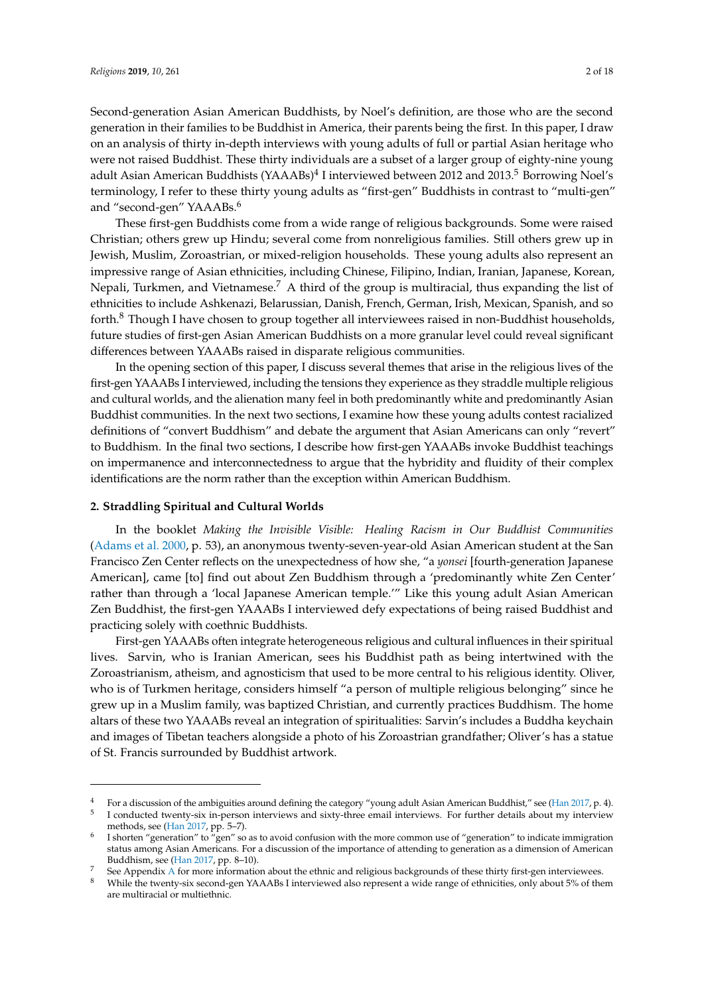Second-generation Asian American Buddhists, by Noel's definition, are those who are the second generation in their families to be Buddhist in America, their parents being the first. In this paper, I draw on an analysis of thirty in-depth interviews with young adults of full or partial Asian heritage who were not raised Buddhist. These thirty individuals are a subset of a larger group of eighty-nine young adult Asian American Buddhists (YAAABs)<sup>4</sup> I interviewed between 2012 and 2013.<sup>5</sup> Borrowing Noel's terminology, I refer to these thirty young adults as "first-gen" Buddhists in contrast to "multi-gen" and "second-gen" YAAABs.<sup>6</sup>

These first-gen Buddhists come from a wide range of religious backgrounds. Some were raised Christian; others grew up Hindu; several come from nonreligious families. Still others grew up in Jewish, Muslim, Zoroastrian, or mixed-religion households. These young adults also represent an impressive range of Asian ethnicities, including Chinese, Filipino, Indian, Iranian, Japanese, Korean, Nepali, Turkmen, and Vietnamese.<sup>7</sup> A third of the group is multiracial, thus expanding the list of ethnicities to include Ashkenazi, Belarussian, Danish, French, German, Irish, Mexican, Spanish, and so forth.<sup>8</sup> Though I have chosen to group together all interviewees raised in non-Buddhist households, future studies of first-gen Asian American Buddhists on a more granular level could reveal significant differences between YAAABs raised in disparate religious communities.

In the opening section of this paper, I discuss several themes that arise in the religious lives of the first-gen YAAABs I interviewed, including the tensions they experience as they straddle multiple religious and cultural worlds, and the alienation many feel in both predominantly white and predominantly Asian Buddhist communities. In the next two sections, I examine how these young adults contest racialized definitions of "convert Buddhism" and debate the argument that Asian Americans can only "revert" to Buddhism. In the final two sections, I describe how first-gen YAAABs invoke Buddhist teachings on impermanence and interconnectedness to argue that the hybridity and fluidity of their complex identifications are the norm rather than the exception within American Buddhism.

#### **2. Straddling Spiritual and Cultural Worlds**

In the booklet *Making the Invisible Visible: Healing Racism in Our Buddhist Communities* [\(Adams et al.](#page-16-4) [2000,](#page-16-4) p. 53), an anonymous twenty-seven-year-old Asian American student at the San Francisco Zen Center reflects on the unexpectedness of how she, "a *yonsei* [fourth-generation Japanese American], came [to] find out about Zen Buddhism through a 'predominantly white Zen Center' rather than through a 'local Japanese American temple.'" Like this young adult Asian American Zen Buddhist, the first-gen YAAABs I interviewed defy expectations of being raised Buddhist and practicing solely with coethnic Buddhists.

First-gen YAAABs often integrate heterogeneous religious and cultural influences in their spiritual lives. Sarvin, who is Iranian American, sees his Buddhist path as being intertwined with the Zoroastrianism, atheism, and agnosticism that used to be more central to his religious identity. Oliver, who is of Turkmen heritage, considers himself "a person of multiple religious belonging" since he grew up in a Muslim family, was baptized Christian, and currently practices Buddhism. The home altars of these two YAAABs reveal an integration of spiritualities: Sarvin's includes a Buddha keychain and images of Tibetan teachers alongside a photo of his Zoroastrian grandfather; Oliver's has a statue of St. Francis surrounded by Buddhist artwork.

<sup>4</sup> For a discussion of the ambiguities around defining the category "young adult Asian American Buddhist," see [\(Han](#page-16-5) [2017,](#page-16-5) p. 4). 5

I conducted twenty-six in-person interviews and sixty-three email interviews. For further details about my interview methods, see [\(Han](#page-16-5) [2017,](#page-16-5) pp. 5–7).

<sup>6</sup> I shorten "generation" to "gen" so as to avoid confusion with the more common use of "generation" to indicate immigration status among Asian Americans. For a discussion of the importance of attending to generation as a dimension of American Buddhism, see [\(Han](#page-16-5) [2017,](#page-16-5) pp. 8–10).

See [A](#page-15-0)ppendix A for more information about the ethnic and religious backgrounds of these thirty first-gen interviewees.

<sup>8</sup> While the twenty-six second-gen YAAABs I interviewed also represent a wide range of ethnicities, only about 5% of them are multiracial or multiethnic.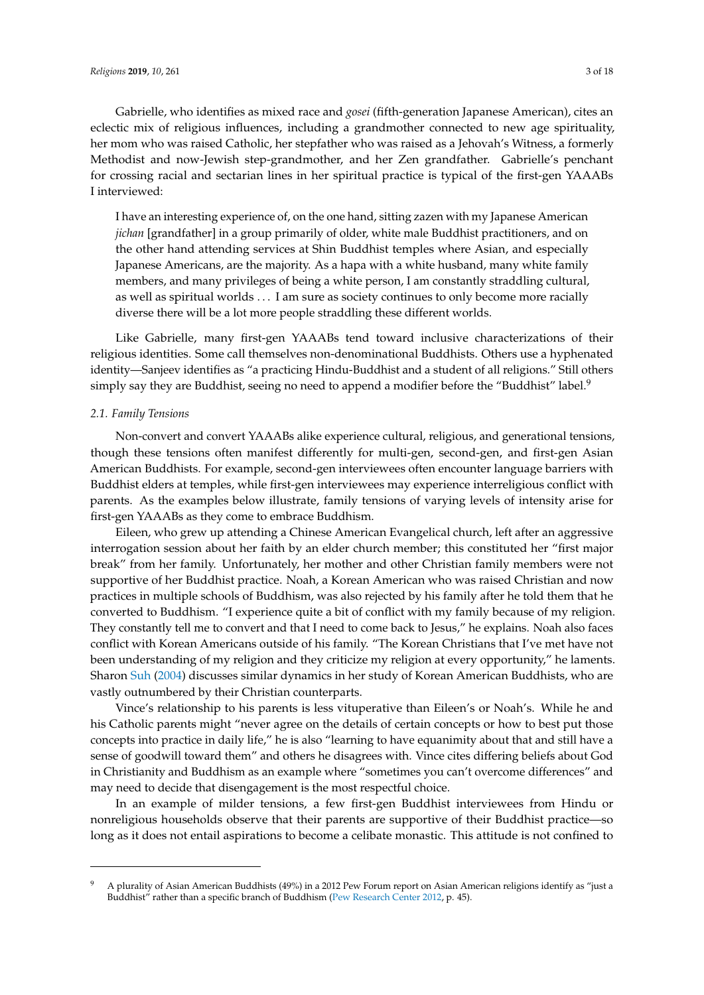Gabrielle, who identifies as mixed race and *gosei* (fifth-generation Japanese American), cites an eclectic mix of religious influences, including a grandmother connected to new age spirituality, her mom who was raised Catholic, her stepfather who was raised as a Jehovah's Witness, a formerly Methodist and now-Jewish step-grandmother, and her Zen grandfather. Gabrielle's penchant for crossing racial and sectarian lines in her spiritual practice is typical of the first-gen YAAABs I interviewed:

I have an interesting experience of, on the one hand, sitting zazen with my Japanese American *jichan* [grandfather] in a group primarily of older, white male Buddhist practitioners, and on the other hand attending services at Shin Buddhist temples where Asian, and especially Japanese Americans, are the majority. As a hapa with a white husband, many white family members, and many privileges of being a white person, I am constantly straddling cultural, as well as spiritual worlds . . . I am sure as society continues to only become more racially diverse there will be a lot more people straddling these different worlds.

Like Gabrielle, many first-gen YAAABs tend toward inclusive characterizations of their religious identities. Some call themselves non-denominational Buddhists. Others use a hyphenated identity—Sanjeev identifies as "a practicing Hindu-Buddhist and a student of all religions." Still others simply say they are Buddhist, seeing no need to append a modifier before the "Buddhist" label.<sup>9</sup>

#### *2.1. Family Tensions*

Non-convert and convert YAAABs alike experience cultural, religious, and generational tensions, though these tensions often manifest differently for multi-gen, second-gen, and first-gen Asian American Buddhists. For example, second-gen interviewees often encounter language barriers with Buddhist elders at temples, while first-gen interviewees may experience interreligious conflict with parents. As the examples below illustrate, family tensions of varying levels of intensity arise for first-gen YAAABs as they come to embrace Buddhism.

Eileen, who grew up attending a Chinese American Evangelical church, left after an aggressive interrogation session about her faith by an elder church member; this constituted her "first major break" from her family. Unfortunately, her mother and other Christian family members were not supportive of her Buddhist practice. Noah, a Korean American who was raised Christian and now practices in multiple schools of Buddhism, was also rejected by his family after he told them that he converted to Buddhism. "I experience quite a bit of conflict with my family because of my religion. They constantly tell me to convert and that I need to come back to Jesus," he explains. Noah also faces conflict with Korean Americans outside of his family. "The Korean Christians that I've met have not been understanding of my religion and they criticize my religion at every opportunity," he laments. Sharon [Suh](#page-17-2) [\(2004\)](#page-17-2) discusses similar dynamics in her study of Korean American Buddhists, who are vastly outnumbered by their Christian counterparts.

Vince's relationship to his parents is less vituperative than Eileen's or Noah's. While he and his Catholic parents might "never agree on the details of certain concepts or how to best put those concepts into practice in daily life," he is also "learning to have equanimity about that and still have a sense of goodwill toward them" and others he disagrees with. Vince cites differing beliefs about God in Christianity and Buddhism as an example where "sometimes you can't overcome differences" and may need to decide that disengagement is the most respectful choice.

In an example of milder tensions, a few first-gen Buddhist interviewees from Hindu or nonreligious households observe that their parents are supportive of their Buddhist practice—so long as it does not entail aspirations to become a celibate monastic. This attitude is not confined to

<sup>&</sup>lt;sup>9</sup> A plurality of Asian American Buddhists (49%) in a 2012 Pew Forum report on Asian American religions identify as "just a Buddhist" rather than a specific branch of Buddhism [\(Pew Research Center](#page-17-3) [2012,](#page-17-3) p. 45).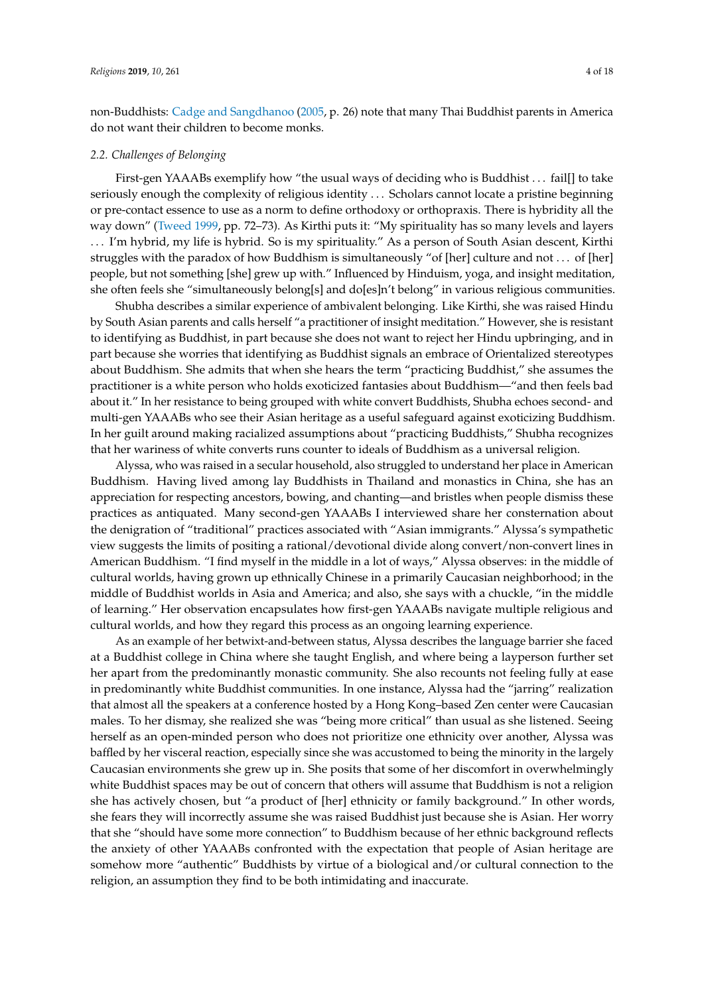non-Buddhists: [Cadge and Sangdhanoo](#page-16-6) [\(2005,](#page-16-6) p. 26) note that many Thai Buddhist parents in America do not want their children to become monks.

#### *2.2. Challenges of Belonging*

First-gen YAAABs exemplify how "the usual ways of deciding who is Buddhist . . . fail[] to take seriously enough the complexity of religious identity . . . Scholars cannot locate a pristine beginning or pre-contact essence to use as a norm to define orthodoxy or orthopraxis. There is hybridity all the way down" [\(Tweed](#page-17-4) [1999,](#page-17-4) pp. 72–73). As Kirthi puts it: "My spirituality has so many levels and layers . . . I'm hybrid, my life is hybrid. So is my spirituality." As a person of South Asian descent, Kirthi struggles with the paradox of how Buddhism is simultaneously "of [her] culture and not . . . of [her] people, but not something [she] grew up with." Influenced by Hinduism, yoga, and insight meditation, she often feels she "simultaneously belong[s] and do[es]n't belong" in various religious communities.

Shubha describes a similar experience of ambivalent belonging. Like Kirthi, she was raised Hindu by South Asian parents and calls herself "a practitioner of insight meditation." However, she is resistant to identifying as Buddhist, in part because she does not want to reject her Hindu upbringing, and in part because she worries that identifying as Buddhist signals an embrace of Orientalized stereotypes about Buddhism. She admits that when she hears the term "practicing Buddhist," she assumes the practitioner is a white person who holds exoticized fantasies about Buddhism—"and then feels bad about it." In her resistance to being grouped with white convert Buddhists, Shubha echoes second- and multi-gen YAAABs who see their Asian heritage as a useful safeguard against exoticizing Buddhism. In her guilt around making racialized assumptions about "practicing Buddhists," Shubha recognizes that her wariness of white converts runs counter to ideals of Buddhism as a universal religion.

Alyssa, who was raised in a secular household, also struggled to understand her place in American Buddhism. Having lived among lay Buddhists in Thailand and monastics in China, she has an appreciation for respecting ancestors, bowing, and chanting—and bristles when people dismiss these practices as antiquated. Many second-gen YAAABs I interviewed share her consternation about the denigration of "traditional" practices associated with "Asian immigrants." Alyssa's sympathetic view suggests the limits of positing a rational/devotional divide along convert/non-convert lines in American Buddhism. "I find myself in the middle in a lot of ways," Alyssa observes: in the middle of cultural worlds, having grown up ethnically Chinese in a primarily Caucasian neighborhood; in the middle of Buddhist worlds in Asia and America; and also, she says with a chuckle, "in the middle of learning." Her observation encapsulates how first-gen YAAABs navigate multiple religious and cultural worlds, and how they regard this process as an ongoing learning experience.

As an example of her betwixt-and-between status, Alyssa describes the language barrier she faced at a Buddhist college in China where she taught English, and where being a layperson further set her apart from the predominantly monastic community. She also recounts not feeling fully at ease in predominantly white Buddhist communities. In one instance, Alyssa had the "jarring" realization that almost all the speakers at a conference hosted by a Hong Kong–based Zen center were Caucasian males. To her dismay, she realized she was "being more critical" than usual as she listened. Seeing herself as an open-minded person who does not prioritize one ethnicity over another, Alyssa was baffled by her visceral reaction, especially since she was accustomed to being the minority in the largely Caucasian environments she grew up in. She posits that some of her discomfort in overwhelmingly white Buddhist spaces may be out of concern that others will assume that Buddhism is not a religion she has actively chosen, but "a product of [her] ethnicity or family background." In other words, she fears they will incorrectly assume she was raised Buddhist just because she is Asian. Her worry that she "should have some more connection" to Buddhism because of her ethnic background reflects the anxiety of other YAAABs confronted with the expectation that people of Asian heritage are somehow more "authentic" Buddhists by virtue of a biological and/or cultural connection to the religion, an assumption they find to be both intimidating and inaccurate.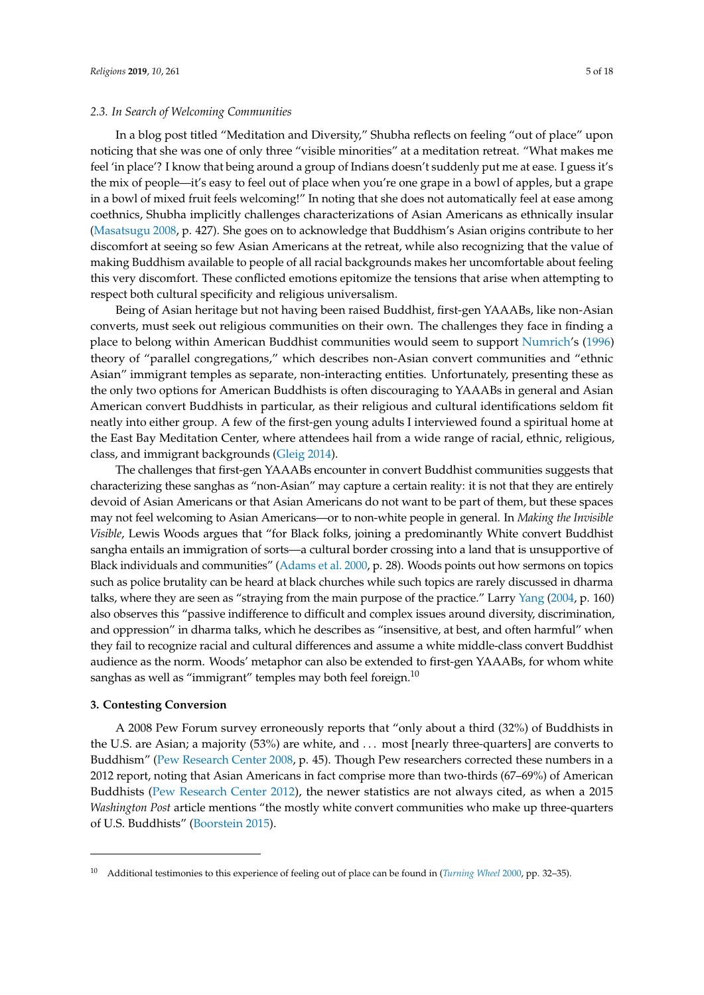#### *2.3. In Search of Welcoming Communities*

In a blog post titled "Meditation and Diversity," Shubha reflects on feeling "out of place" upon noticing that she was one of only three "visible minorities" at a meditation retreat. "What makes me feel 'in place'? I know that being around a group of Indians doesn't suddenly put me at ease. I guess it's the mix of people—it's easy to feel out of place when you're one grape in a bowl of apples, but a grape in a bowl of mixed fruit feels welcoming!" In noting that she does not automatically feel at ease among coethnics, Shubha implicitly challenges characterizations of Asian Americans as ethnically insular [\(Masatsugu](#page-17-5) [2008,](#page-17-5) p. 427). She goes on to acknowledge that Buddhism's Asian origins contribute to her discomfort at seeing so few Asian Americans at the retreat, while also recognizing that the value of making Buddhism available to people of all racial backgrounds makes her uncomfortable about feeling this very discomfort. These conflicted emotions epitomize the tensions that arise when attempting to respect both cultural specificity and religious universalism.

Being of Asian heritage but not having been raised Buddhist, first-gen YAAABs, like non-Asian converts, must seek out religious communities on their own. The challenges they face in finding a place to belong within American Buddhist communities would seem to support [Numrich'](#page-17-6)s [\(1996\)](#page-17-6) theory of "parallel congregations," which describes non-Asian convert communities and "ethnic Asian" immigrant temples as separate, non-interacting entities. Unfortunately, presenting these as the only two options for American Buddhists is often discouraging to YAAABs in general and Asian American convert Buddhists in particular, as their religious and cultural identifications seldom fit neatly into either group. A few of the first-gen young adults I interviewed found a spiritual home at the East Bay Meditation Center, where attendees hail from a wide range of racial, ethnic, religious, class, and immigrant backgrounds [\(Gleig](#page-16-7) [2014\)](#page-16-7).

The challenges that first-gen YAAABs encounter in convert Buddhist communities suggests that characterizing these sanghas as "non-Asian" may capture a certain reality: it is not that they are entirely devoid of Asian Americans or that Asian Americans do not want to be part of them, but these spaces may not feel welcoming to Asian Americans—or to non-white people in general. In *Making the Invisible Visible*, Lewis Woods argues that "for Black folks, joining a predominantly White convert Buddhist sangha entails an immigration of sorts—a cultural border crossing into a land that is unsupportive of Black individuals and communities" [\(Adams et al.](#page-16-4) [2000,](#page-16-4) p. 28). Woods points out how sermons on topics such as police brutality can be heard at black churches while such topics are rarely discussed in dharma talks, where they are seen as "straying from the main purpose of the practice." Larry [Yang](#page-17-7) [\(2004,](#page-17-7) p. 160) also observes this "passive indifference to difficult and complex issues around diversity, discrimination, and oppression" in dharma talks, which he describes as "insensitive, at best, and often harmful" when they fail to recognize racial and cultural differences and assume a white middle-class convert Buddhist audience as the norm. Woods' metaphor can also be extended to first-gen YAAABs, for whom white sanghas as well as "immigrant" temples may both feel foreign.<sup>10</sup>

# **3. Contesting Conversion**

A 2008 Pew Forum survey erroneously reports that "only about a third (32%) of Buddhists in the U.S. are Asian; a majority (53%) are white, and . . . most [nearly three-quarters] are converts to Buddhism" [\(Pew Research Center](#page-17-8) [2008,](#page-17-8) p. 45). Though Pew researchers corrected these numbers in a 2012 report, noting that Asian Americans in fact comprise more than two-thirds (67–69%) of American Buddhists [\(Pew Research Center](#page-17-3) [2012\)](#page-17-3), the newer statistics are not always cited, as when a 2015 *Washington Post* article mentions "the mostly white convert communities who make up three-quarters of U.S. Buddhists" [\(Boorstein](#page-16-8) [2015\)](#page-16-8).

<sup>10</sup> Additional testimonies to this experience of feeling out of place can be found in (*[Turning Wheel](#page-17-9)* [2000,](#page-17-9) pp. 32–35).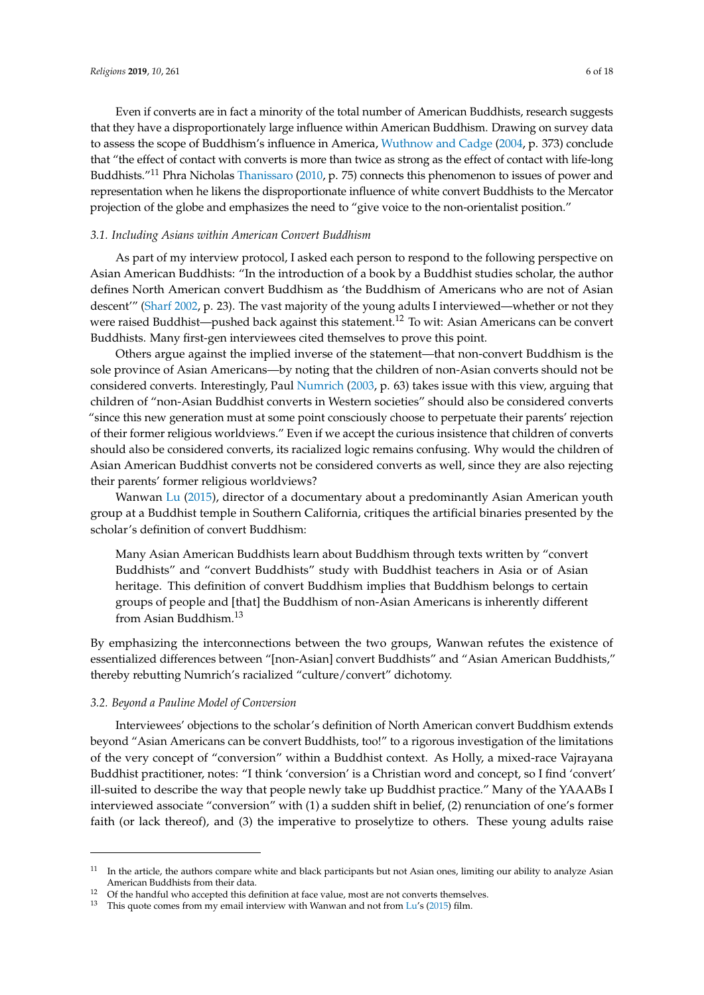Even if converts are in fact a minority of the total number of American Buddhists, research suggests that they have a disproportionately large influence within American Buddhism. Drawing on survey data to assess the scope of Buddhism's influence in America, [Wuthnow and Cadge](#page-17-10) [\(2004,](#page-17-10) p. 373) conclude that "the effect of contact with converts is more than twice as strong as the effect of contact with life-long Buddhists."<sup>11</sup> Phra Nicholas [Thanissaro](#page-17-11) [\(2010,](#page-17-11) p. 75) connects this phenomenon to issues of power and representation when he likens the disproportionate influence of white convert Buddhists to the Mercator projection of the globe and emphasizes the need to "give voice to the non-orientalist position."

# *3.1. Including Asians within American Convert Buddhism*

As part of my interview protocol, I asked each person to respond to the following perspective on Asian American Buddhists: "In the introduction of a book by a Buddhist studies scholar, the author defines North American convert Buddhism as 'the Buddhism of Americans who are not of Asian descent'" [\(Sharf](#page-17-12) [2002,](#page-17-12) p. 23). The vast majority of the young adults I interviewed—whether or not they were raised Buddhist—pushed back against this statement.<sup>12</sup> To wit: Asian Americans can be convert Buddhists. Many first-gen interviewees cited themselves to prove this point.

Others argue against the implied inverse of the statement—that non-convert Buddhism is the sole province of Asian Americans—by noting that the children of non-Asian converts should not be considered converts. Interestingly, Paul [Numrich](#page-17-13) [\(2003,](#page-17-13) p. 63) takes issue with this view, arguing that children of "non-Asian Buddhist converts in Western societies" should also be considered converts "since this new generation must at some point consciously choose to perpetuate their parents' rejection of their former religious worldviews." Even if we accept the curious insistence that children of converts should also be considered converts, its racialized logic remains confusing. Why would the children of Asian American Buddhist converts not be considered converts as well, since they are also rejecting their parents' former religious worldviews?

Wanwan [Lu](#page-16-9) [\(2015\)](#page-16-9), director of a documentary about a predominantly Asian American youth group at a Buddhist temple in Southern California, critiques the artificial binaries presented by the scholar's definition of convert Buddhism:

Many Asian American Buddhists learn about Buddhism through texts written by "convert Buddhists" and "convert Buddhists" study with Buddhist teachers in Asia or of Asian heritage. This definition of convert Buddhism implies that Buddhism belongs to certain groups of people and [that] the Buddhism of non-Asian Americans is inherently different from Asian Buddhism.<sup>13</sup>

By emphasizing the interconnections between the two groups, Wanwan refutes the existence of essentialized differences between "[non-Asian] convert Buddhists" and "Asian American Buddhists," thereby rebutting Numrich's racialized "culture/convert" dichotomy.

# *3.2. Beyond a Pauline Model of Conversion*

Interviewees' objections to the scholar's definition of North American convert Buddhism extends beyond "Asian Americans can be convert Buddhists, too!" to a rigorous investigation of the limitations of the very concept of "conversion" within a Buddhist context. As Holly, a mixed-race Vajrayana Buddhist practitioner, notes: "I think 'conversion' is a Christian word and concept, so I find 'convert' ill-suited to describe the way that people newly take up Buddhist practice." Many of the YAAABs I interviewed associate "conversion" with (1) a sudden shift in belief, (2) renunciation of one's former faith (or lack thereof), and (3) the imperative to proselytize to others. These young adults raise

 $11$  In the article, the authors compare white and black participants but not Asian ones, limiting our ability to analyze Asian American Buddhists from their data.

<sup>&</sup>lt;sup>12</sup> Of the handful who accepted this definition at face value, most are not converts themselves.

<sup>&</sup>lt;sup>13</sup> This quote comes from my email interview with Wanwan and not from [Lu'](#page-16-9)s [\(2015\)](#page-16-9) film.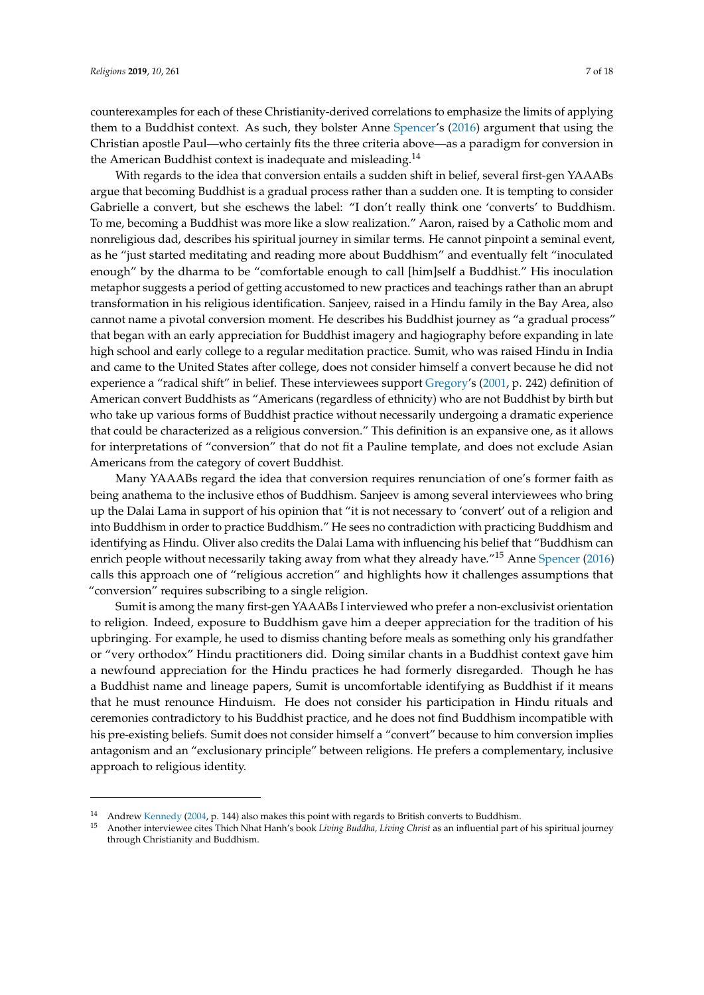counterexamples for each of these Christianity-derived correlations to emphasize the limits of applying them to a Buddhist context. As such, they bolster Anne [Spencer'](#page-17-14)s [\(2016\)](#page-17-14) argument that using the Christian apostle Paul—who certainly fits the three criteria above—as a paradigm for conversion in the American Buddhist context is inadequate and misleading.<sup>14</sup>

With regards to the idea that conversion entails a sudden shift in belief, several first-gen YAAABs argue that becoming Buddhist is a gradual process rather than a sudden one. It is tempting to consider Gabrielle a convert, but she eschews the label: "I don't really think one 'converts' to Buddhism. To me, becoming a Buddhist was more like a slow realization." Aaron, raised by a Catholic mom and nonreligious dad, describes his spiritual journey in similar terms. He cannot pinpoint a seminal event, as he "just started meditating and reading more about Buddhism" and eventually felt "inoculated enough" by the dharma to be "comfortable enough to call [him]self a Buddhist." His inoculation metaphor suggests a period of getting accustomed to new practices and teachings rather than an abrupt transformation in his religious identification. Sanjeev, raised in a Hindu family in the Bay Area, also cannot name a pivotal conversion moment. He describes his Buddhist journey as "a gradual process" that began with an early appreciation for Buddhist imagery and hagiography before expanding in late high school and early college to a regular meditation practice. Sumit, who was raised Hindu in India and came to the United States after college, does not consider himself a convert because he did not experience a "radical shift" in belief. These interviewees support [Gregory'](#page-16-1)s [\(2001,](#page-16-1) p. 242) definition of American convert Buddhists as "Americans (regardless of ethnicity) who are not Buddhist by birth but who take up various forms of Buddhist practice without necessarily undergoing a dramatic experience that could be characterized as a religious conversion." This definition is an expansive one, as it allows for interpretations of "conversion" that do not fit a Pauline template, and does not exclude Asian Americans from the category of covert Buddhist.

Many YAAABs regard the idea that conversion requires renunciation of one's former faith as being anathema to the inclusive ethos of Buddhism. Sanjeev is among several interviewees who bring up the Dalai Lama in support of his opinion that "it is not necessary to 'convert' out of a religion and into Buddhism in order to practice Buddhism." He sees no contradiction with practicing Buddhism and identifying as Hindu. Oliver also credits the Dalai Lama with influencing his belief that "Buddhism can enrich people without necessarily taking away from what they already have."<sup>15</sup> Anne [Spencer](#page-17-14) [\(2016\)](#page-17-14) calls this approach one of "religious accretion" and highlights how it challenges assumptions that "conversion" requires subscribing to a single religion.

Sumit is among the many first-gen YAAABs I interviewed who prefer a non-exclusivist orientation to religion. Indeed, exposure to Buddhism gave him a deeper appreciation for the tradition of his upbringing. For example, he used to dismiss chanting before meals as something only his grandfather or "very orthodox" Hindu practitioners did. Doing similar chants in a Buddhist context gave him a newfound appreciation for the Hindu practices he had formerly disregarded. Though he has a Buddhist name and lineage papers, Sumit is uncomfortable identifying as Buddhist if it means that he must renounce Hinduism. He does not consider his participation in Hindu rituals and ceremonies contradictory to his Buddhist practice, and he does not find Buddhism incompatible with his pre-existing beliefs. Sumit does not consider himself a "convert" because to him conversion implies antagonism and an "exclusionary principle" between religions. He prefers a complementary, inclusive approach to religious identity.

<sup>&</sup>lt;sup>14</sup> Andrew [Kennedy](#page-16-10) [\(2004,](#page-16-10) p. 144) also makes this point with regards to British converts to Buddhism.<br><sup>15</sup> Angther interviewes sites Thish Nhat Hapk's heal: *Linius Buddhe, Linius Christ* as an influential part of

<sup>15</sup> Another interviewee cites Thich Nhat Hanh's book *Living Buddha, Living Christ* as an influential part of his spiritual journey through Christianity and Buddhism.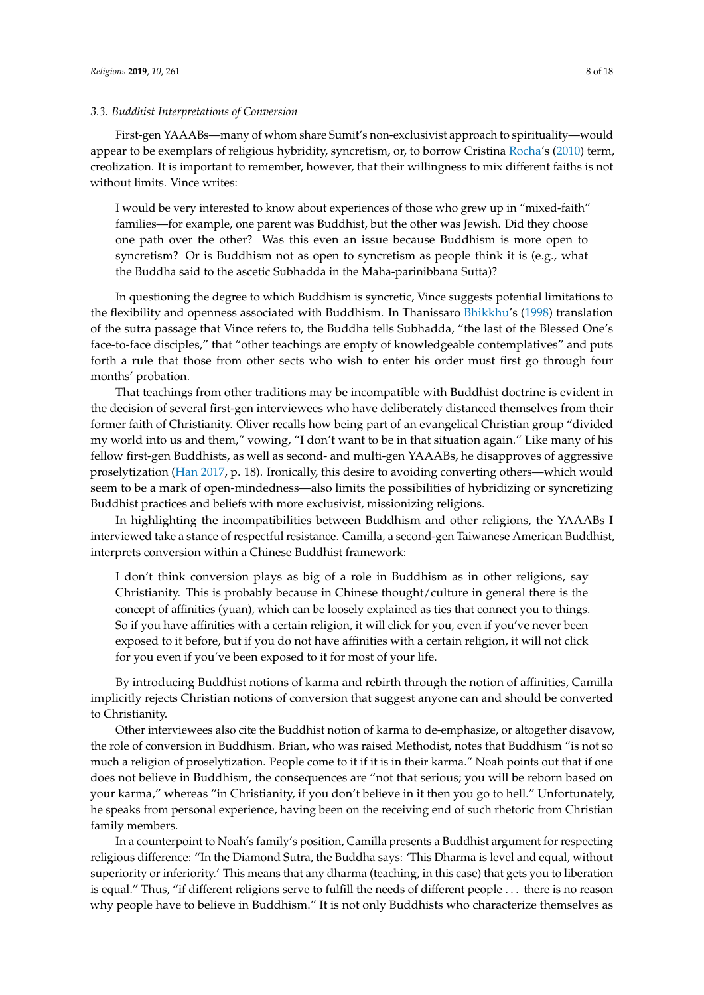#### *3.3. Buddhist Interpretations of Conversion*

First-gen YAAABs—many of whom share Sumit's non-exclusivist approach to spirituality—would appear to be exemplars of religious hybridity, syncretism, or, to borrow Cristina [Rocha'](#page-17-15)s [\(2010\)](#page-17-15) term, creolization. It is important to remember, however, that their willingness to mix different faiths is not without limits. Vince writes:

I would be very interested to know about experiences of those who grew up in "mixed-faith" families—for example, one parent was Buddhist, but the other was Jewish. Did they choose one path over the other? Was this even an issue because Buddhism is more open to syncretism? Or is Buddhism not as open to syncretism as people think it is (e.g., what the Buddha said to the ascetic Subhadda in the Maha-parinibbana Sutta)?

In questioning the degree to which Buddhism is syncretic, Vince suggests potential limitations to the flexibility and openness associated with Buddhism. In Thanissaro [Bhikkhu'](#page-16-11)s [\(1998\)](#page-16-11) translation of the sutra passage that Vince refers to, the Buddha tells Subhadda, "the last of the Blessed One's face-to-face disciples," that "other teachings are empty of knowledgeable contemplatives" and puts forth a rule that those from other sects who wish to enter his order must first go through four months' probation.

That teachings from other traditions may be incompatible with Buddhist doctrine is evident in the decision of several first-gen interviewees who have deliberately distanced themselves from their former faith of Christianity. Oliver recalls how being part of an evangelical Christian group "divided my world into us and them," vowing, "I don't want to be in that situation again." Like many of his fellow first-gen Buddhists, as well as second- and multi-gen YAAABs, he disapproves of aggressive proselytization [\(Han](#page-16-5) [2017,](#page-16-5) p. 18). Ironically, this desire to avoiding converting others—which would seem to be a mark of open-mindedness—also limits the possibilities of hybridizing or syncretizing Buddhist practices and beliefs with more exclusivist, missionizing religions.

In highlighting the incompatibilities between Buddhism and other religions, the YAAABs I interviewed take a stance of respectful resistance. Camilla, a second-gen Taiwanese American Buddhist, interprets conversion within a Chinese Buddhist framework:

I don't think conversion plays as big of a role in Buddhism as in other religions, say Christianity. This is probably because in Chinese thought/culture in general there is the concept of affinities (yuan), which can be loosely explained as ties that connect you to things. So if you have affinities with a certain religion, it will click for you, even if you've never been exposed to it before, but if you do not have affinities with a certain religion, it will not click for you even if you've been exposed to it for most of your life.

By introducing Buddhist notions of karma and rebirth through the notion of affinities, Camilla implicitly rejects Christian notions of conversion that suggest anyone can and should be converted to Christianity.

Other interviewees also cite the Buddhist notion of karma to de-emphasize, or altogether disavow, the role of conversion in Buddhism. Brian, who was raised Methodist, notes that Buddhism "is not so much a religion of proselytization. People come to it if it is in their karma." Noah points out that if one does not believe in Buddhism, the consequences are "not that serious; you will be reborn based on your karma," whereas "in Christianity, if you don't believe in it then you go to hell." Unfortunately, he speaks from personal experience, having been on the receiving end of such rhetoric from Christian family members.

In a counterpoint to Noah's family's position, Camilla presents a Buddhist argument for respecting religious difference: "In the Diamond Sutra, the Buddha says: 'This Dharma is level and equal, without superiority or inferiority.' This means that any dharma (teaching, in this case) that gets you to liberation is equal." Thus, "if different religions serve to fulfill the needs of different people . . . there is no reason why people have to believe in Buddhism." It is not only Buddhists who characterize themselves as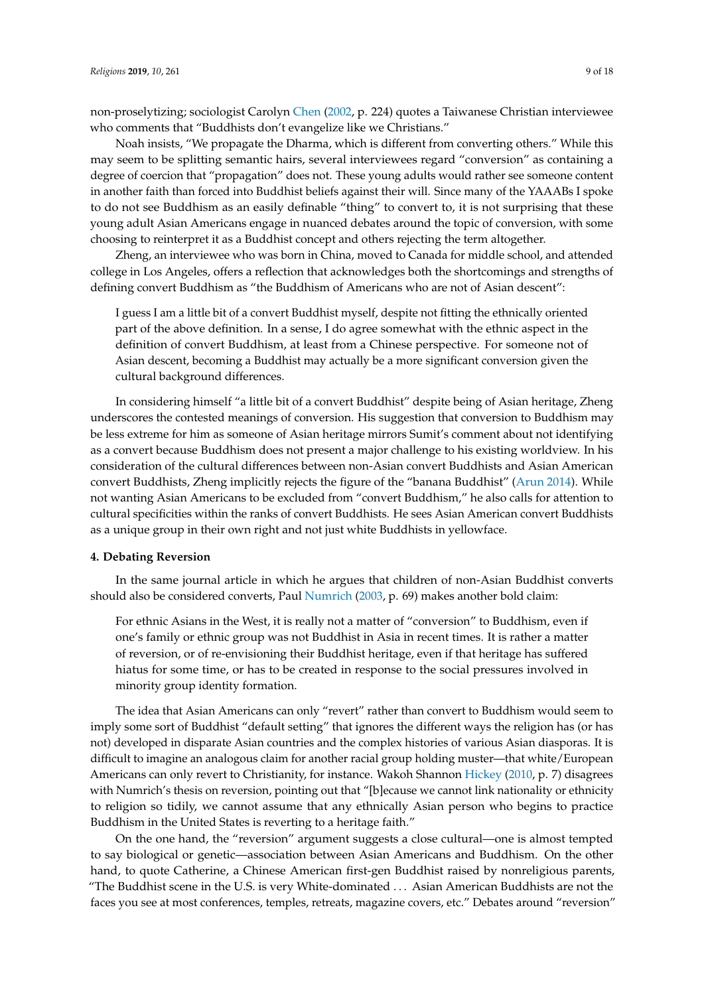non-proselytizing; sociologist Carolyn [Chen](#page-16-12) [\(2002,](#page-16-12) p. 224) quotes a Taiwanese Christian interviewee who comments that "Buddhists don't evangelize like we Christians."

Noah insists, "We propagate the Dharma, which is different from converting others." While this may seem to be splitting semantic hairs, several interviewees regard "conversion" as containing a degree of coercion that "propagation" does not. These young adults would rather see someone content in another faith than forced into Buddhist beliefs against their will. Since many of the YAAABs I spoke to do not see Buddhism as an easily definable "thing" to convert to, it is not surprising that these young adult Asian Americans engage in nuanced debates around the topic of conversion, with some choosing to reinterpret it as a Buddhist concept and others rejecting the term altogether.

Zheng, an interviewee who was born in China, moved to Canada for middle school, and attended college in Los Angeles, offers a reflection that acknowledges both the shortcomings and strengths of defining convert Buddhism as "the Buddhism of Americans who are not of Asian descent":

I guess I am a little bit of a convert Buddhist myself, despite not fitting the ethnically oriented part of the above definition. In a sense, I do agree somewhat with the ethnic aspect in the definition of convert Buddhism, at least from a Chinese perspective. For someone not of Asian descent, becoming a Buddhist may actually be a more significant conversion given the cultural background differences.

In considering himself "a little bit of a convert Buddhist" despite being of Asian heritage, Zheng underscores the contested meanings of conversion. His suggestion that conversion to Buddhism may be less extreme for him as someone of Asian heritage mirrors Sumit's comment about not identifying as a convert because Buddhism does not present a major challenge to his existing worldview. In his consideration of the cultural differences between non-Asian convert Buddhists and Asian American convert Buddhists, Zheng implicitly rejects the figure of the "banana Buddhist" [\(Arun](#page-16-13) [2014\)](#page-16-13). While not wanting Asian Americans to be excluded from "convert Buddhism," he also calls for attention to cultural specificities within the ranks of convert Buddhists. He sees Asian American convert Buddhists as a unique group in their own right and not just white Buddhists in yellowface.

#### **4. Debating Reversion**

In the same journal article in which he argues that children of non-Asian Buddhist converts should also be considered converts, Paul [Numrich](#page-17-13) [\(2003,](#page-17-13) p. 69) makes another bold claim:

For ethnic Asians in the West, it is really not a matter of "conversion" to Buddhism, even if one's family or ethnic group was not Buddhist in Asia in recent times. It is rather a matter of reversion, or of re-envisioning their Buddhist heritage, even if that heritage has suffered hiatus for some time, or has to be created in response to the social pressures involved in minority group identity formation.

The idea that Asian Americans can only "revert" rather than convert to Buddhism would seem to imply some sort of Buddhist "default setting" that ignores the different ways the religion has (or has not) developed in disparate Asian countries and the complex histories of various Asian diasporas. It is difficult to imagine an analogous claim for another racial group holding muster—that white/European Americans can only revert to Christianity, for instance. Wakoh Shannon [Hickey](#page-16-14) [\(2010,](#page-16-14) p. 7) disagrees with Numrich's thesis on reversion, pointing out that "[b]ecause we cannot link nationality or ethnicity to religion so tidily, we cannot assume that any ethnically Asian person who begins to practice Buddhism in the United States is reverting to a heritage faith."

On the one hand, the "reversion" argument suggests a close cultural—one is almost tempted to say biological or genetic—association between Asian Americans and Buddhism. On the other hand, to quote Catherine, a Chinese American first-gen Buddhist raised by nonreligious parents, "The Buddhist scene in the U.S. is very White-dominated . . . Asian American Buddhists are not the faces you see at most conferences, temples, retreats, magazine covers, etc." Debates around "reversion"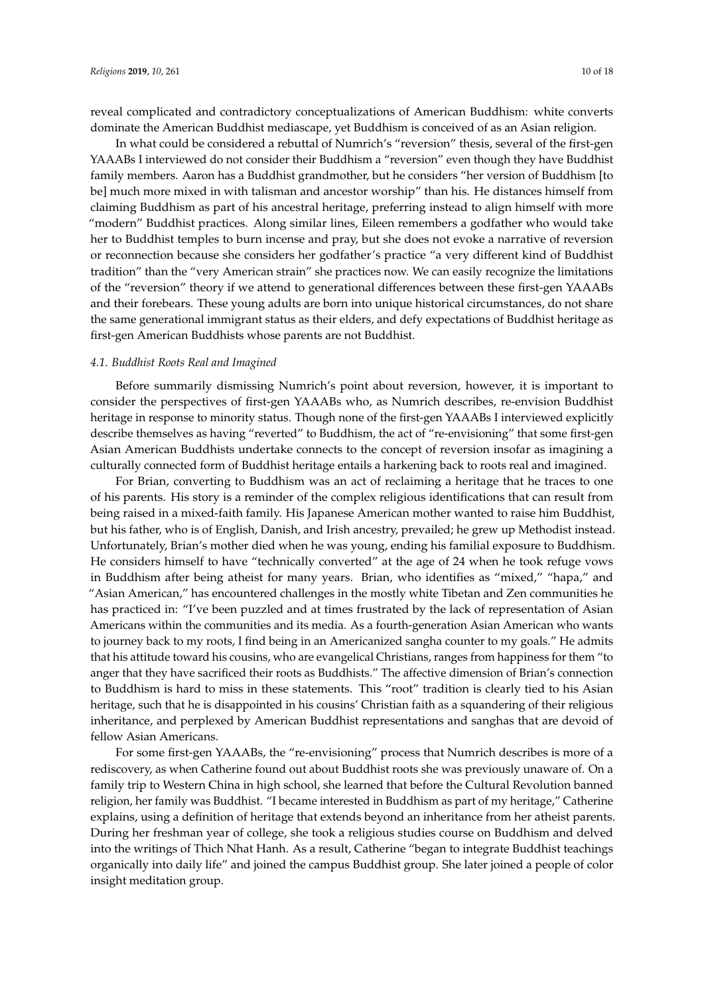reveal complicated and contradictory conceptualizations of American Buddhism: white converts dominate the American Buddhist mediascape, yet Buddhism is conceived of as an Asian religion.

In what could be considered a rebuttal of Numrich's "reversion" thesis, several of the first-gen YAAABs I interviewed do not consider their Buddhism a "reversion" even though they have Buddhist family members. Aaron has a Buddhist grandmother, but he considers "her version of Buddhism [to be] much more mixed in with talisman and ancestor worship" than his. He distances himself from claiming Buddhism as part of his ancestral heritage, preferring instead to align himself with more "modern" Buddhist practices. Along similar lines, Eileen remembers a godfather who would take her to Buddhist temples to burn incense and pray, but she does not evoke a narrative of reversion or reconnection because she considers her godfather's practice "a very different kind of Buddhist tradition" than the "very American strain" she practices now. We can easily recognize the limitations of the "reversion" theory if we attend to generational differences between these first-gen YAAABs and their forebears. These young adults are born into unique historical circumstances, do not share the same generational immigrant status as their elders, and defy expectations of Buddhist heritage as first-gen American Buddhists whose parents are not Buddhist.

#### *4.1. Buddhist Roots Real and Imagined*

Before summarily dismissing Numrich's point about reversion, however, it is important to consider the perspectives of first-gen YAAABs who, as Numrich describes, re-envision Buddhist heritage in response to minority status. Though none of the first-gen YAAABs I interviewed explicitly describe themselves as having "reverted" to Buddhism, the act of "re-envisioning" that some first-gen Asian American Buddhists undertake connects to the concept of reversion insofar as imagining a culturally connected form of Buddhist heritage entails a harkening back to roots real and imagined.

For Brian, converting to Buddhism was an act of reclaiming a heritage that he traces to one of his parents. His story is a reminder of the complex religious identifications that can result from being raised in a mixed-faith family. His Japanese American mother wanted to raise him Buddhist, but his father, who is of English, Danish, and Irish ancestry, prevailed; he grew up Methodist instead. Unfortunately, Brian's mother died when he was young, ending his familial exposure to Buddhism. He considers himself to have "technically converted" at the age of 24 when he took refuge vows in Buddhism after being atheist for many years. Brian, who identifies as "mixed," "hapa," and "Asian American," has encountered challenges in the mostly white Tibetan and Zen communities he has practiced in: "I've been puzzled and at times frustrated by the lack of representation of Asian Americans within the communities and its media. As a fourth-generation Asian American who wants to journey back to my roots, I find being in an Americanized sangha counter to my goals." He admits that his attitude toward his cousins, who are evangelical Christians, ranges from happiness for them "to anger that they have sacrificed their roots as Buddhists." The affective dimension of Brian's connection to Buddhism is hard to miss in these statements. This "root" tradition is clearly tied to his Asian heritage, such that he is disappointed in his cousins' Christian faith as a squandering of their religious inheritance, and perplexed by American Buddhist representations and sanghas that are devoid of fellow Asian Americans.

For some first-gen YAAABs, the "re-envisioning" process that Numrich describes is more of a rediscovery, as when Catherine found out about Buddhist roots she was previously unaware of. On a family trip to Western China in high school, she learned that before the Cultural Revolution banned religion, her family was Buddhist. "I became interested in Buddhism as part of my heritage," Catherine explains, using a definition of heritage that extends beyond an inheritance from her atheist parents. During her freshman year of college, she took a religious studies course on Buddhism and delved into the writings of Thich Nhat Hanh. As a result, Catherine "began to integrate Buddhist teachings organically into daily life" and joined the campus Buddhist group. She later joined a people of color insight meditation group.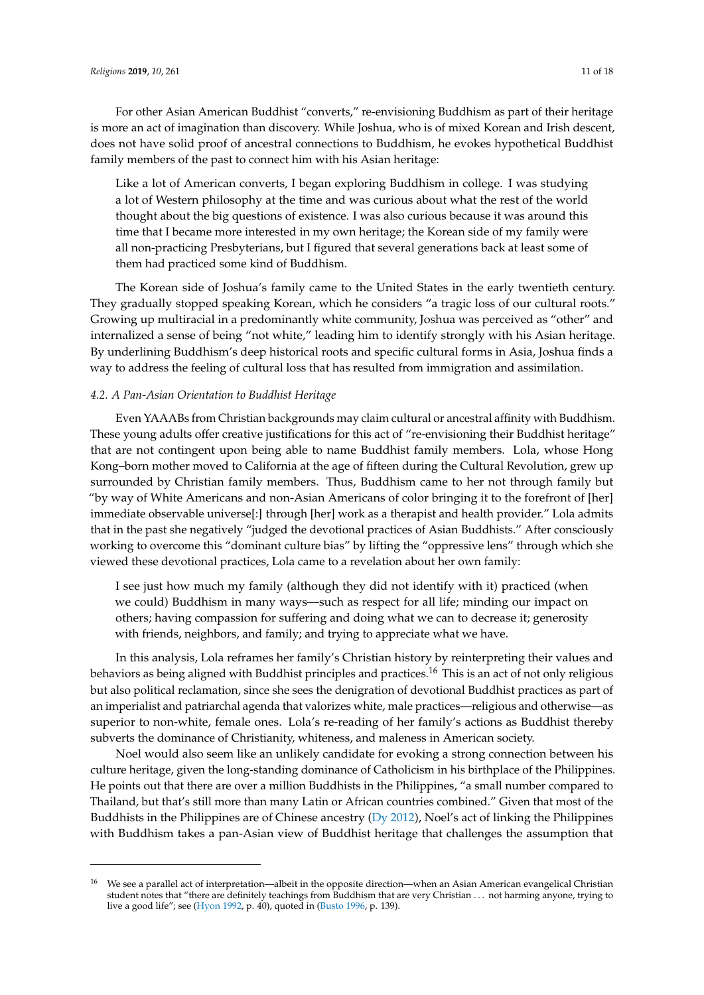For other Asian American Buddhist "converts," re-envisioning Buddhism as part of their heritage is more an act of imagination than discovery. While Joshua, who is of mixed Korean and Irish descent, does not have solid proof of ancestral connections to Buddhism, he evokes hypothetical Buddhist family members of the past to connect him with his Asian heritage:

Like a lot of American converts, I began exploring Buddhism in college. I was studying a lot of Western philosophy at the time and was curious about what the rest of the world thought about the big questions of existence. I was also curious because it was around this time that I became more interested in my own heritage; the Korean side of my family were all non-practicing Presbyterians, but I figured that several generations back at least some of them had practiced some kind of Buddhism.

The Korean side of Joshua's family came to the United States in the early twentieth century. They gradually stopped speaking Korean, which he considers "a tragic loss of our cultural roots." Growing up multiracial in a predominantly white community, Joshua was perceived as "other" and internalized a sense of being "not white," leading him to identify strongly with his Asian heritage. By underlining Buddhism's deep historical roots and specific cultural forms in Asia, Joshua finds a way to address the feeling of cultural loss that has resulted from immigration and assimilation.

# *4.2. A Pan-Asian Orientation to Buddhist Heritage*

Even YAAABs from Christian backgrounds may claim cultural or ancestral affinity with Buddhism. These young adults offer creative justifications for this act of "re-envisioning their Buddhist heritage" that are not contingent upon being able to name Buddhist family members. Lola, whose Hong Kong–born mother moved to California at the age of fifteen during the Cultural Revolution, grew up surrounded by Christian family members. Thus, Buddhism came to her not through family but "by way of White Americans and non-Asian Americans of color bringing it to the forefront of [her] immediate observable universe[:] through [her] work as a therapist and health provider." Lola admits that in the past she negatively "judged the devotional practices of Asian Buddhists." After consciously working to overcome this "dominant culture bias" by lifting the "oppressive lens" through which she viewed these devotional practices, Lola came to a revelation about her own family:

I see just how much my family (although they did not identify with it) practiced (when we could) Buddhism in many ways—such as respect for all life; minding our impact on others; having compassion for suffering and doing what we can to decrease it; generosity with friends, neighbors, and family; and trying to appreciate what we have.

In this analysis, Lola reframes her family's Christian history by reinterpreting their values and behaviors as being aligned with Buddhist principles and practices.<sup>16</sup> This is an act of not only religious but also political reclamation, since she sees the denigration of devotional Buddhist practices as part of an imperialist and patriarchal agenda that valorizes white, male practices—religious and otherwise—as superior to non-white, female ones. Lola's re-reading of her family's actions as Buddhist thereby subverts the dominance of Christianity, whiteness, and maleness in American society.

Noel would also seem like an unlikely candidate for evoking a strong connection between his culture heritage, given the long-standing dominance of Catholicism in his birthplace of the Philippines. He points out that there are over a million Buddhists in the Philippines, "a small number compared to Thailand, but that's still more than many Latin or African countries combined." Given that most of the Buddhists in the Philippines are of Chinese ancestry ( $Dy$  [2012\)](#page-16-15), Noel's act of linking the Philippines with Buddhism takes a pan-Asian view of Buddhist heritage that challenges the assumption that

<sup>16</sup> We see a parallel act of interpretation—albeit in the opposite direction—when an Asian American evangelical Christian student notes that "there are definitely teachings from Buddhism that are very Christian . . . not harming anyone, trying to live a good life"; see [\(Hyon](#page-16-16) [1992,](#page-16-16) p. 40), quoted in [\(Busto](#page-16-17) [1996,](#page-16-17) p. 139).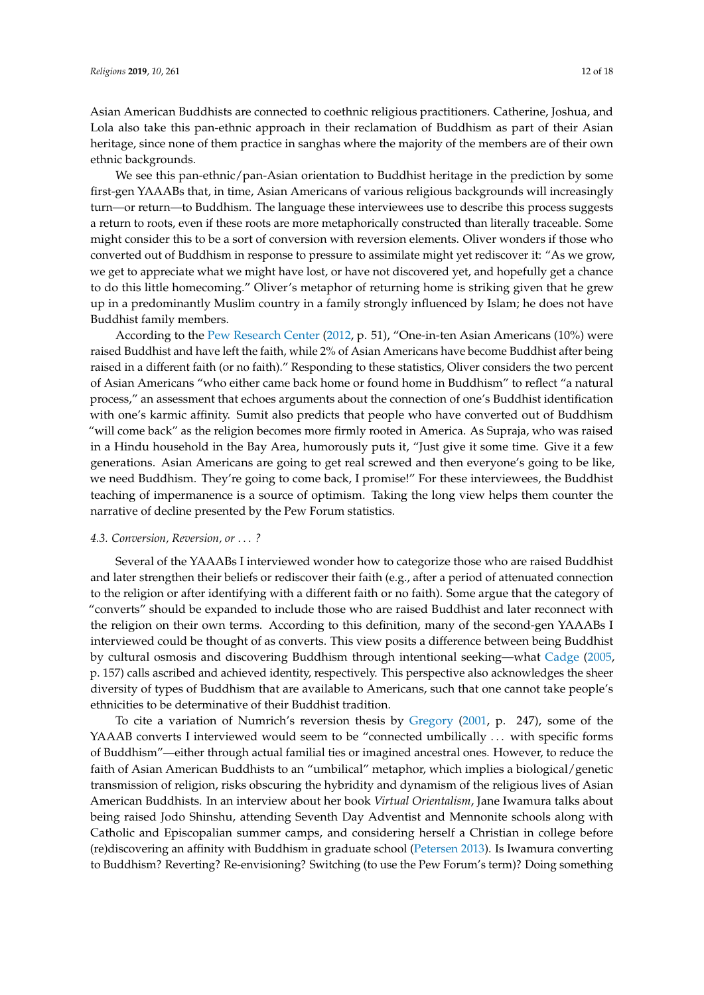Asian American Buddhists are connected to coethnic religious practitioners. Catherine, Joshua, and Lola also take this pan-ethnic approach in their reclamation of Buddhism as part of their Asian heritage, since none of them practice in sanghas where the majority of the members are of their own ethnic backgrounds.

We see this pan-ethnic/pan-Asian orientation to Buddhist heritage in the prediction by some first-gen YAAABs that, in time, Asian Americans of various religious backgrounds will increasingly turn—or return—to Buddhism. The language these interviewees use to describe this process suggests a return to roots, even if these roots are more metaphorically constructed than literally traceable. Some might consider this to be a sort of conversion with reversion elements. Oliver wonders if those who converted out of Buddhism in response to pressure to assimilate might yet rediscover it: "As we grow, we get to appreciate what we might have lost, or have not discovered yet, and hopefully get a chance to do this little homecoming." Oliver's metaphor of returning home is striking given that he grew up in a predominantly Muslim country in a family strongly influenced by Islam; he does not have Buddhist family members.

According to the [Pew Research Center](#page-17-3) [\(2012,](#page-17-3) p. 51), "One-in-ten Asian Americans (10%) were raised Buddhist and have left the faith, while 2% of Asian Americans have become Buddhist after being raised in a different faith (or no faith)." Responding to these statistics, Oliver considers the two percent of Asian Americans "who either came back home or found home in Buddhism" to reflect "a natural process," an assessment that echoes arguments about the connection of one's Buddhist identification with one's karmic affinity. Sumit also predicts that people who have converted out of Buddhism "will come back" as the religion becomes more firmly rooted in America. As Supraja, who was raised in a Hindu household in the Bay Area, humorously puts it, "Just give it some time. Give it a few generations. Asian Americans are going to get real screwed and then everyone's going to be like, we need Buddhism. They're going to come back, I promise!" For these interviewees, the Buddhist teaching of impermanence is a source of optimism. Taking the long view helps them counter the narrative of decline presented by the Pew Forum statistics.

# *4.3. Conversion, Reversion, or* . . . *?*

Several of the YAAABs I interviewed wonder how to categorize those who are raised Buddhist and later strengthen their beliefs or rediscover their faith (e.g., after a period of attenuated connection to the religion or after identifying with a different faith or no faith). Some argue that the category of "converts" should be expanded to include those who are raised Buddhist and later reconnect with the religion on their own terms. According to this definition, many of the second-gen YAAABs I interviewed could be thought of as converts. This view posits a difference between being Buddhist by cultural osmosis and discovering Buddhism through intentional seeking—what [Cadge](#page-16-18) [\(2005,](#page-16-18) p. 157) calls ascribed and achieved identity, respectively. This perspective also acknowledges the sheer diversity of types of Buddhism that are available to Americans, such that one cannot take people's ethnicities to be determinative of their Buddhist tradition.

To cite a variation of Numrich's reversion thesis by [Gregory](#page-16-1) [\(2001,](#page-16-1) p. 247), some of the YAAAB converts I interviewed would seem to be "connected umbilically ... with specific forms of Buddhism"—either through actual familial ties or imagined ancestral ones. However, to reduce the faith of Asian American Buddhists to an "umbilical" metaphor, which implies a biological/genetic transmission of religion, risks obscuring the hybridity and dynamism of the religious lives of Asian American Buddhists. In an interview about her book *Virtual Orientalism*, Jane Iwamura talks about being raised Jodo Shinshu, attending Seventh Day Adventist and Mennonite schools along with Catholic and Episcopalian summer camps, and considering herself a Christian in college before (re)discovering an affinity with Buddhism in graduate school [\(Petersen](#page-17-16) [2013\)](#page-17-16). Is Iwamura converting to Buddhism? Reverting? Re-envisioning? Switching (to use the Pew Forum's term)? Doing something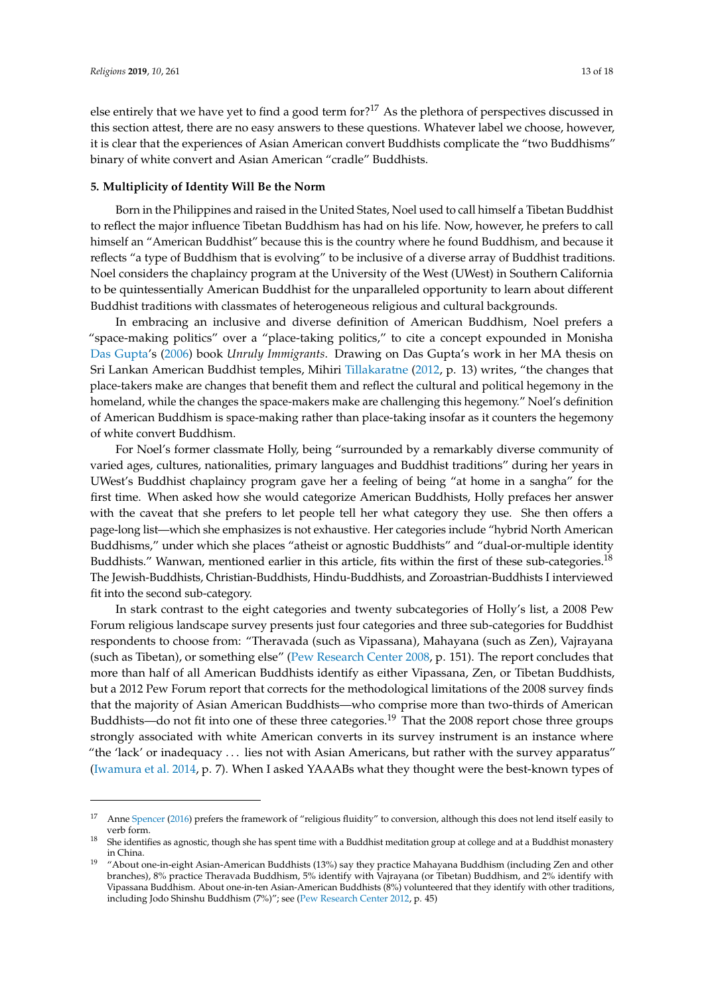else entirely that we have yet to find a good term for?<sup>17</sup> As the plethora of perspectives discussed in this section attest, there are no easy answers to these questions. Whatever label we choose, however, it is clear that the experiences of Asian American convert Buddhists complicate the "two Buddhisms" binary of white convert and Asian American "cradle" Buddhists.

# **5. Multiplicity of Identity Will Be the Norm**

Born in the Philippines and raised in the United States, Noel used to call himself a Tibetan Buddhist to reflect the major influence Tibetan Buddhism has had on his life. Now, however, he prefers to call himself an "American Buddhist" because this is the country where he found Buddhism, and because it reflects "a type of Buddhism that is evolving" to be inclusive of a diverse array of Buddhist traditions. Noel considers the chaplaincy program at the University of the West (UWest) in Southern California to be quintessentially American Buddhist for the unparalleled opportunity to learn about different Buddhist traditions with classmates of heterogeneous religious and cultural backgrounds.

In embracing an inclusive and diverse definition of American Buddhism, Noel prefers a "space-making politics" over a "place-taking politics," to cite a concept expounded in Monisha [Das Gupta'](#page-16-19)s [\(2006\)](#page-16-19) book *Unruly Immigrants*. Drawing on Das Gupta's work in her MA thesis on Sri Lankan American Buddhist temples, Mihiri [Tillakaratne](#page-17-17) [\(2012,](#page-17-17) p. 13) writes, "the changes that place-takers make are changes that benefit them and reflect the cultural and political hegemony in the homeland, while the changes the space-makers make are challenging this hegemony." Noel's definition of American Buddhism is space-making rather than place-taking insofar as it counters the hegemony of white convert Buddhism.

For Noel's former classmate Holly, being "surrounded by a remarkably diverse community of varied ages, cultures, nationalities, primary languages and Buddhist traditions" during her years in UWest's Buddhist chaplaincy program gave her a feeling of being "at home in a sangha" for the first time. When asked how she would categorize American Buddhists, Holly prefaces her answer with the caveat that she prefers to let people tell her what category they use. She then offers a page-long list—which she emphasizes is not exhaustive. Her categories include "hybrid North American Buddhisms," under which she places "atheist or agnostic Buddhists" and "dual-or-multiple identity Buddhists." Wanwan, mentioned earlier in this article, fits within the first of these sub-categories.<sup>18</sup> The Jewish-Buddhists, Christian-Buddhists, Hindu-Buddhists, and Zoroastrian-Buddhists I interviewed fit into the second sub-category.

In stark contrast to the eight categories and twenty subcategories of Holly's list, a 2008 Pew Forum religious landscape survey presents just four categories and three sub-categories for Buddhist respondents to choose from: "Theravada (such as Vipassana), Mahayana (such as Zen), Vajrayana (such as Tibetan), or something else" [\(Pew Research Center](#page-17-8) [2008,](#page-17-8) p. 151). The report concludes that more than half of all American Buddhists identify as either Vipassana, Zen, or Tibetan Buddhists, but a 2012 Pew Forum report that corrects for the methodological limitations of the 2008 survey finds that the majority of Asian American Buddhists—who comprise more than two-thirds of American Buddhists—do not fit into one of these three categories.<sup>19</sup> That the 2008 report chose three groups strongly associated with white American converts in its survey instrument is an instance where "the 'lack' or inadequacy . . . lies not with Asian Americans, but rather with the survey apparatus" [\(Iwamura et al.](#page-16-20) [2014,](#page-16-20) p. 7). When I asked YAAABs what they thought were the best-known types of

<sup>&</sup>lt;sup>17</sup> Anne [Spencer](#page-17-14) [\(2016\)](#page-17-14) prefers the framework of "religious fluidity" to conversion, although this does not lend itself easily to verb form.

<sup>18</sup> She identifies as agnostic, though she has spent time with a Buddhist meditation group at college and at a Buddhist monastery in China.

<sup>19</sup> "About one-in-eight Asian-American Buddhists (13%) say they practice Mahayana Buddhism (including Zen and other branches), 8% practice Theravada Buddhism, 5% identify with Vajrayana (or Tibetan) Buddhism, and 2% identify with Vipassana Buddhism. About one-in-ten Asian-American Buddhists (8%) volunteered that they identify with other traditions, including Jodo Shinshu Buddhism (7%)"; see [\(Pew Research Center](#page-17-3) [2012,](#page-17-3) p. 45)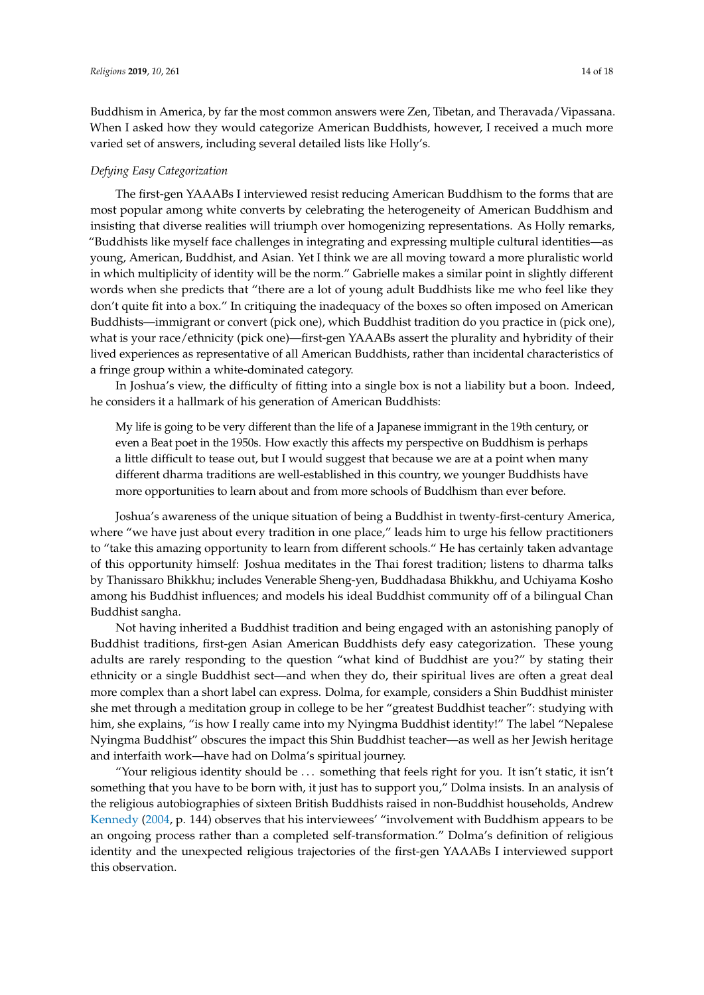Buddhism in America, by far the most common answers were Zen, Tibetan, and Theravada/Vipassana. When I asked how they would categorize American Buddhists, however, I received a much more varied set of answers, including several detailed lists like Holly's.

#### *Defying Easy Categorization*

The first-gen YAAABs I interviewed resist reducing American Buddhism to the forms that are most popular among white converts by celebrating the heterogeneity of American Buddhism and insisting that diverse realities will triumph over homogenizing representations. As Holly remarks, "Buddhists like myself face challenges in integrating and expressing multiple cultural identities—as young, American, Buddhist, and Asian. Yet I think we are all moving toward a more pluralistic world in which multiplicity of identity will be the norm." Gabrielle makes a similar point in slightly different words when she predicts that "there are a lot of young adult Buddhists like me who feel like they don't quite fit into a box." In critiquing the inadequacy of the boxes so often imposed on American Buddhists—immigrant or convert (pick one), which Buddhist tradition do you practice in (pick one), what is your race/ethnicity (pick one)—first-gen YAAABs assert the plurality and hybridity of their lived experiences as representative of all American Buddhists, rather than incidental characteristics of a fringe group within a white-dominated category.

In Joshua's view, the difficulty of fitting into a single box is not a liability but a boon. Indeed, he considers it a hallmark of his generation of American Buddhists:

My life is going to be very different than the life of a Japanese immigrant in the 19th century, or even a Beat poet in the 1950s. How exactly this affects my perspective on Buddhism is perhaps a little difficult to tease out, but I would suggest that because we are at a point when many different dharma traditions are well-established in this country, we younger Buddhists have more opportunities to learn about and from more schools of Buddhism than ever before.

Joshua's awareness of the unique situation of being a Buddhist in twenty-first-century America, where "we have just about every tradition in one place," leads him to urge his fellow practitioners to "take this amazing opportunity to learn from different schools." He has certainly taken advantage of this opportunity himself: Joshua meditates in the Thai forest tradition; listens to dharma talks by Thanissaro Bhikkhu; includes Venerable Sheng-yen, Buddhadasa Bhikkhu, and Uchiyama Kosho among his Buddhist influences; and models his ideal Buddhist community off of a bilingual Chan Buddhist sangha.

Not having inherited a Buddhist tradition and being engaged with an astonishing panoply of Buddhist traditions, first-gen Asian American Buddhists defy easy categorization. These young adults are rarely responding to the question "what kind of Buddhist are you?" by stating their ethnicity or a single Buddhist sect—and when they do, their spiritual lives are often a great deal more complex than a short label can express. Dolma, for example, considers a Shin Buddhist minister she met through a meditation group in college to be her "greatest Buddhist teacher": studying with him, she explains, "is how I really came into my Nyingma Buddhist identity!" The label "Nepalese Nyingma Buddhist" obscures the impact this Shin Buddhist teacher—as well as her Jewish heritage and interfaith work—have had on Dolma's spiritual journey.

"Your religious identity should be . . . something that feels right for you. It isn't static, it isn't something that you have to be born with, it just has to support you," Dolma insists. In an analysis of the religious autobiographies of sixteen British Buddhists raised in non-Buddhist households, Andrew [Kennedy](#page-16-10) [\(2004,](#page-16-10) p. 144) observes that his interviewees' "involvement with Buddhism appears to be an ongoing process rather than a completed self-transformation." Dolma's definition of religious identity and the unexpected religious trajectories of the first-gen YAAABs I interviewed support this observation.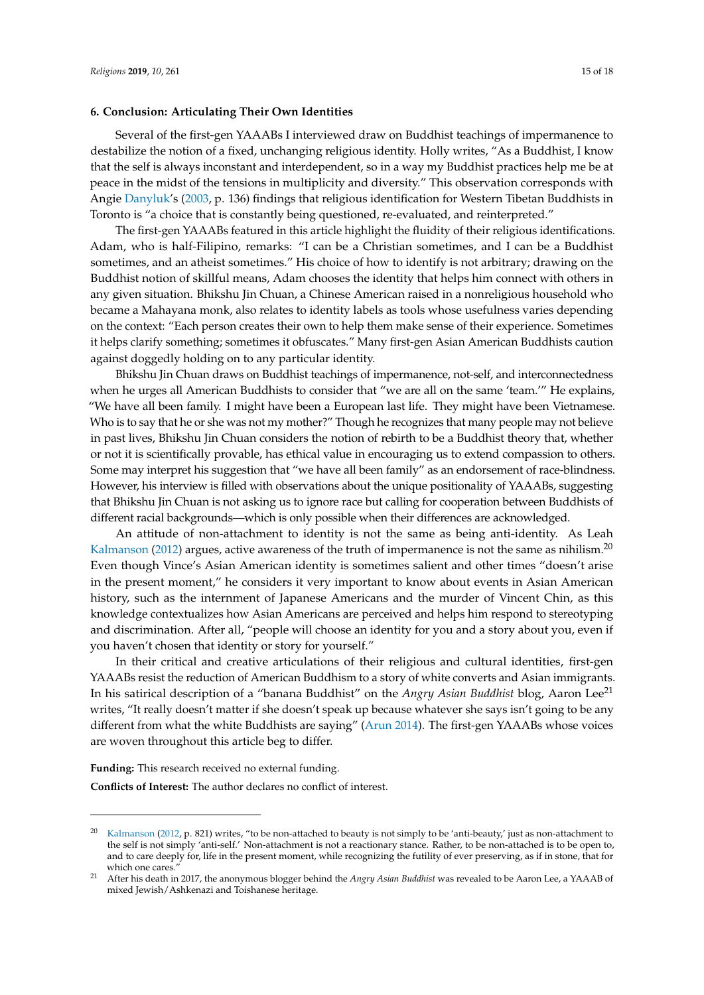#### **6. Conclusion: Articulating Their Own Identities**

Several of the first-gen YAAABs I interviewed draw on Buddhist teachings of impermanence to destabilize the notion of a fixed, unchanging religious identity. Holly writes, "As a Buddhist, I know that the self is always inconstant and interdependent, so in a way my Buddhist practices help me be at peace in the midst of the tensions in multiplicity and diversity." This observation corresponds with Angie [Danyluk'](#page-16-21)s [\(2003,](#page-16-21) p. 136) findings that religious identification for Western Tibetan Buddhists in Toronto is "a choice that is constantly being questioned, re-evaluated, and reinterpreted."

The first-gen YAAABs featured in this article highlight the fluidity of their religious identifications. Adam, who is half-Filipino, remarks: "I can be a Christian sometimes, and I can be a Buddhist sometimes, and an atheist sometimes." His choice of how to identify is not arbitrary; drawing on the Buddhist notion of skillful means, Adam chooses the identity that helps him connect with others in any given situation. Bhikshu Jin Chuan, a Chinese American raised in a nonreligious household who became a Mahayana monk, also relates to identity labels as tools whose usefulness varies depending on the context: "Each person creates their own to help them make sense of their experience. Sometimes it helps clarify something; sometimes it obfuscates." Many first-gen Asian American Buddhists caution against doggedly holding on to any particular identity.

Bhikshu Jin Chuan draws on Buddhist teachings of impermanence, not-self, and interconnectedness when he urges all American Buddhists to consider that "we are all on the same 'team.'" He explains, "We have all been family. I might have been a European last life. They might have been Vietnamese. Who is to say that he or she was not my mother?" Though he recognizes that many people may not believe in past lives, Bhikshu Jin Chuan considers the notion of rebirth to be a Buddhist theory that, whether or not it is scientifically provable, has ethical value in encouraging us to extend compassion to others. Some may interpret his suggestion that "we have all been family" as an endorsement of race-blindness. However, his interview is filled with observations about the unique positionality of YAAABs, suggesting that Bhikshu Jin Chuan is not asking us to ignore race but calling for cooperation between Buddhists of different racial backgrounds—which is only possible when their differences are acknowledged.

An attitude of non-attachment to identity is not the same as being anti-identity. As Leah [Kalmanson](#page-16-22) [\(2012\)](#page-16-22) argues, active awareness of the truth of impermanence is not the same as nihilism.<sup>20</sup> Even though Vince's Asian American identity is sometimes salient and other times "doesn't arise in the present moment," he considers it very important to know about events in Asian American history, such as the internment of Japanese Americans and the murder of Vincent Chin, as this knowledge contextualizes how Asian Americans are perceived and helps him respond to stereotyping and discrimination. After all, "people will choose an identity for you and a story about you, even if you haven't chosen that identity or story for yourself."

In their critical and creative articulations of their religious and cultural identities, first-gen YAAABs resist the reduction of American Buddhism to a story of white converts and Asian immigrants. In his satirical description of a "banana Buddhist" on the *Angry Asian Buddhist* blog, Aaron Lee<sup>21</sup> writes, "It really doesn't matter if she doesn't speak up because whatever she says isn't going to be any different from what the white Buddhists are saying" [\(Arun](#page-16-13) [2014\)](#page-16-13). The first-gen YAAABs whose voices are woven throughout this article beg to differ.

**Funding:** This research received no external funding.

**Conflicts of Interest:** The author declares no conflict of interest.

 $20$  [Kalmanson](#page-16-22) [\(2012,](#page-16-22) p. 821) writes, "to be non-attached to beauty is not simply to be 'anti-beauty,' just as non-attachment to the self is not simply 'anti-self.' Non-attachment is not a reactionary stance. Rather, to be non-attached is to be open to, and to care deeply for, life in the present moment, while recognizing the futility of ever preserving, as if in stone, that for which one cares.

<sup>21</sup> After his death in 2017, the anonymous blogger behind the *Angry Asian Buddhist* was revealed to be Aaron Lee, a YAAAB of mixed Jewish/Ashkenazi and Toishanese heritage.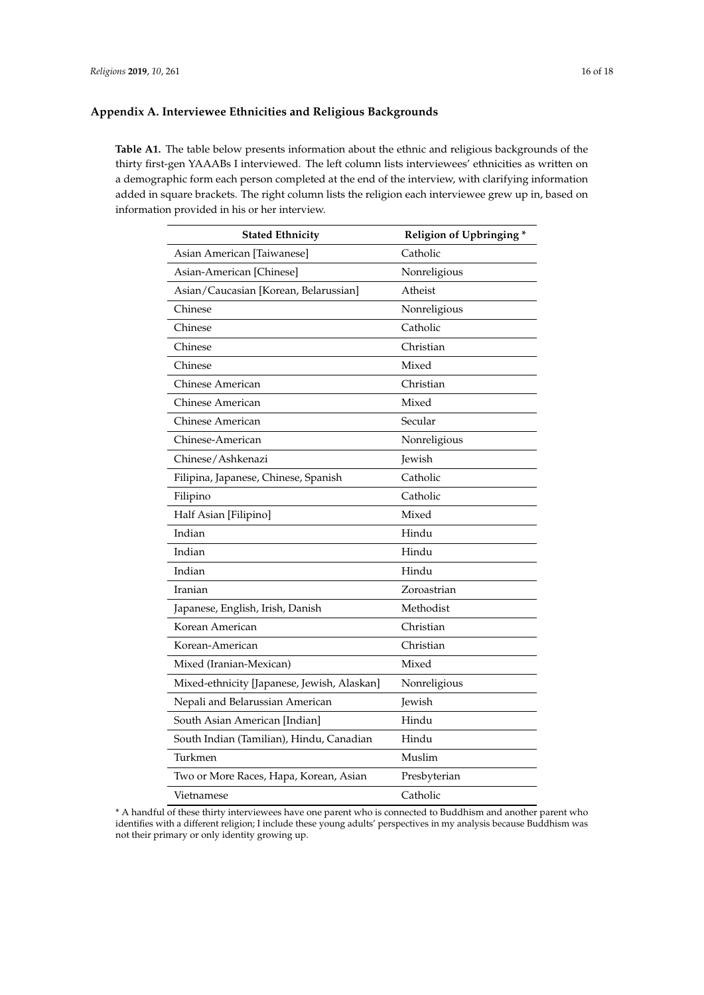# <span id="page-15-0"></span>**Appendix A. Interviewee Ethnicities and Religious Backgrounds**

**Table A1.** The table below presents information about the ethnic and religious backgrounds of the thirty first-gen YAAABs I interviewed. The left column lists interviewees' ethnicities as written on a demographic form each person completed at the end of the interview, with clarifying information added in square brackets. The right column lists the religion each interviewee grew up in, based on information provided in his or her interview.

| <b>Stated Ethnicity</b>                     | Religion of Upbringing* |
|---------------------------------------------|-------------------------|
| Asian American [Taiwanese]                  | Catholic                |
| Asian-American [Chinese]                    | Nonreligious            |
| Asian/Caucasian [Korean, Belarussian]       | Atheist                 |
| Chinese                                     | Nonreligious            |
| Chinese                                     | Catholic                |
| Chinese                                     | Christian               |
| Chinese                                     | Mixed                   |
| Chinese American                            | Christian               |
| Chinese American                            | Mixed                   |
| Chinese American                            | Secular                 |
| Chinese-American                            | Nonreligious            |
| Chinese/Ashkenazi                           | Jewish                  |
| Filipina, Japanese, Chinese, Spanish        | Catholic                |
| Filipino                                    | Catholic                |
| Half Asian [Filipino]                       | Mixed                   |
| Indian                                      | Hindu                   |
| Indian                                      | Hindu                   |
| Indian                                      | Hindu                   |
| Iranian                                     | Zoroastrian             |
| Japanese, English, Irish, Danish            | Methodist               |
| Korean American                             | Christian               |
| Korean-American                             | Christian               |
| Mixed (Iranian-Mexican)                     | Mixed                   |
| Mixed-ethnicity [Japanese, Jewish, Alaskan] | Nonreligious            |
| Nepali and Belarussian American             | Jewish                  |
| South Asian American [Indian]               | Hindu                   |
| South Indian (Tamilian), Hindu, Canadian    | Hindu                   |
| Turkmen                                     | Muslim                  |
| Two or More Races, Hapa, Korean, Asian      | Presbyterian            |
| Vietnamese                                  | Catholic                |

<sup>\*</sup> A handful of these thirty interviewees have one parent who is connected to Buddhism and another parent who identifies with a different religion; I include these young adults' perspectives in my analysis because Buddhism was not their primary or only identity growing up.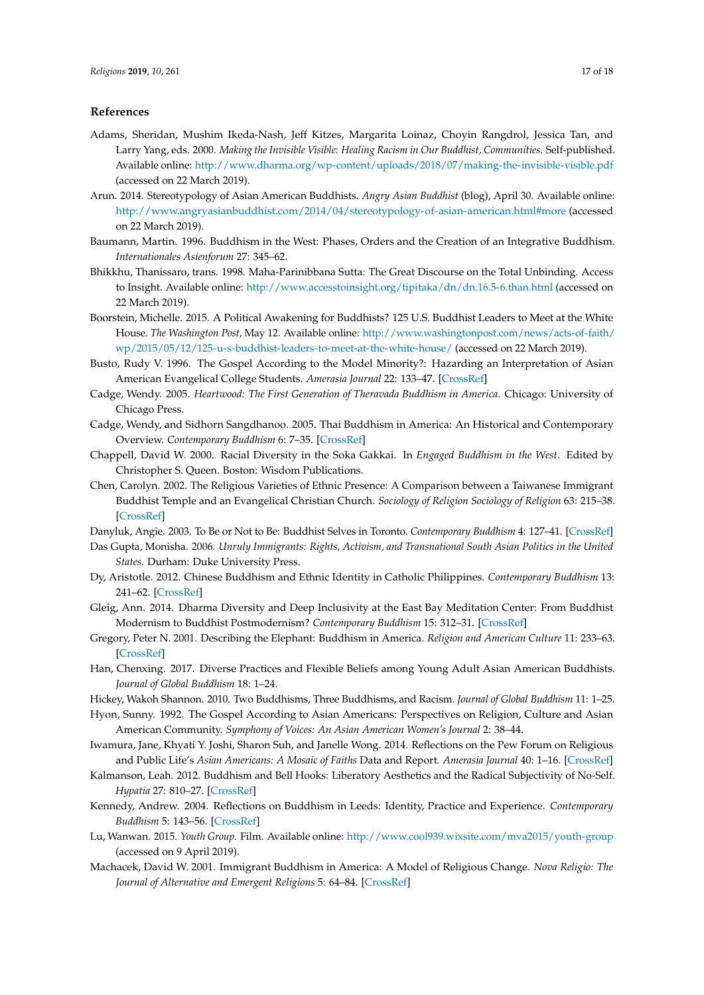# **References**

- <span id="page-16-4"></span>Adams, Sheridan, Mushim Ikeda-Nash, Jeff Kitzes, Margarita Loinaz, Choyin Rangdrol, Jessica Tan, and Larry Yang, eds. 2000. *Making the Invisible Visible: Healing Racism in Our Buddhist, Communities*. Self-published. Available online: <http://www.dharma.org/wp-content/uploads/2018/07/making-the-invisible-visible.pdf> (accessed on 22 March 2019).
- <span id="page-16-13"></span>Arun. 2014. Stereotypology of Asian American Buddhists. *Angry Asian Buddhist* (blog), April 30. Available online: <http://www.angryasianbuddhist.com/2014/04/stereotypology-of-asian-american.html#more> (accessed on 22 March 2019).
- <span id="page-16-2"></span>Baumann, Martin. 1996. Buddhism in the West: Phases, Orders and the Creation of an Integrative Buddhism. *Internationales Asienforum* 27: 345–62.
- <span id="page-16-11"></span>Bhikkhu, Thanissaro, trans. 1998. Maha-Parinibbana Sutta: The Great Discourse on the Total Unbinding. Access to Insight. Available online: <http://www.accesstoinsight.org/tipitaka/dn/dn.16.5-6.than.html> (accessed on 22 March 2019).
- <span id="page-16-8"></span>Boorstein, Michelle. 2015. A Political Awakening for Buddhists? 125 U.S. Buddhist Leaders to Meet at the White House. *The Washington Post*, May 12. Available online: [http://www.washingtonpost.com/news/acts-of-faith/](http://www.washingtonpost.com/news/acts-of-faith/wp/2015/05/12/125-u-s-buddhist-leaders-to-meet-at-the-white-house/) [wp/2015/05/12/125-u-s-buddhist-leaders-to-meet-at-the-white-house/](http://www.washingtonpost.com/news/acts-of-faith/wp/2015/05/12/125-u-s-buddhist-leaders-to-meet-at-the-white-house/) (accessed on 22 March 2019).
- <span id="page-16-17"></span>Busto, Rudy V. 1996. The Gospel According to the Model Minority?: Hazarding an Interpretation of Asian American Evangelical College Students. *Amerasia Journal* 22: 133–47. [\[CrossRef\]](http://dx.doi.org/10.17953/amer.22.1.nw6177p521l33334)
- <span id="page-16-18"></span>Cadge, Wendy. 2005. *Heartwood: The First Generation of Theravada Buddhism in America*. Chicago: University of Chicago Press.
- <span id="page-16-6"></span>Cadge, Wendy, and Sidhorn Sangdhanoo. 2005. Thai Buddhism in America: An Historical and Contemporary Overview. *Contemporary Buddhism* 6: 7–35. [\[CrossRef\]](http://dx.doi.org/10.1080/14639940500129421)
- <span id="page-16-3"></span>Chappell, David W. 2000. Racial Diversity in the Soka Gakkai. In *Engaged Buddhism in the West*. Edited by Christopher S. Queen. Boston: Wisdom Publications.
- <span id="page-16-12"></span>Chen, Carolyn. 2002. The Religious Varieties of Ethnic Presence: A Comparison between a Taiwanese Immigrant Buddhist Temple and an Evangelical Christian Church. *Sociology of Religion Sociology of Religion* 63: 215–38. [\[CrossRef\]](http://dx.doi.org/10.2307/3712566)
- <span id="page-16-21"></span><span id="page-16-19"></span>Danyluk, Angie. 2003. To Be or Not to Be: Buddhist Selves in Toronto. *Contemporary Buddhism* 4: 127–41. [\[CrossRef\]](http://dx.doi.org/10.1080/1463994032000162956)
- Das Gupta, Monisha. 2006. *Unruly Immigrants: Rights, Activism, and Transnational South Asian Politics in the United States*. Durham: Duke University Press.
- <span id="page-16-15"></span>Dy, Aristotle. 2012. Chinese Buddhism and Ethnic Identity in Catholic Philippines. *Contemporary Buddhism* 13: 241–62. [\[CrossRef\]](http://dx.doi.org/10.1080/14639947.2012.716708)
- <span id="page-16-7"></span>Gleig, Ann. 2014. Dharma Diversity and Deep Inclusivity at the East Bay Meditation Center: From Buddhist Modernism to Buddhist Postmodernism? *Contemporary Buddhism* 15: 312–31. [\[CrossRef\]](http://dx.doi.org/10.1080/14639947.2014.932487)
- <span id="page-16-1"></span>Gregory, Peter N. 2001. Describing the Elephant: Buddhism in America. *Religion and American Culture* 11: 233–63. [\[CrossRef\]](http://dx.doi.org/10.1525/rac.2001.11.2.233)
- <span id="page-16-5"></span>Han, Chenxing. 2017. Diverse Practices and Flexible Beliefs among Young Adult Asian American Buddhists. *Journal of Global Buddhism* 18: 1–24.
- <span id="page-16-16"></span><span id="page-16-14"></span>Hickey, Wakoh Shannon. 2010. Two Buddhisms, Three Buddhisms, and Racism. *Journal of Global Buddhism* 11: 1–25.
- Hyon, Sunny. 1992. The Gospel According to Asian Americans: Perspectives on Religion, Culture and Asian American Community. *Symphony of Voices: An Asian American Women's Journal* 2: 38–44.
- <span id="page-16-20"></span>Iwamura, Jane, Khyati Y. Joshi, Sharon Suh, and Janelle Wong. 2014. Reflections on the Pew Forum on Religious and Public Life's *Asian Americans: A Mosaic of Faiths* Data and Report. *Amerasia Journal* 40: 1–16. [\[CrossRef\]](http://dx.doi.org/10.17953/amer.40.1.t1nt4407v3120734)
- <span id="page-16-22"></span>Kalmanson, Leah. 2012. Buddhism and Bell Hooks: Liberatory Aesthetics and the Radical Subjectivity of No-Self. *Hypatia* 27: 810–27. [\[CrossRef\]](http://dx.doi.org/10.1111/j.1527-2001.2011.01224.x)
- <span id="page-16-10"></span>Kennedy, Andrew. 2004. Reflections on Buddhism in Leeds: Identity, Practice and Experience. *Contemporary Buddhism* 5: 143–56. [\[CrossRef\]](http://dx.doi.org/10.1080/1463994042000291565)
- <span id="page-16-9"></span>Lu, Wanwan. 2015. *Youth Group*. Film. Available online: <http://www.cool939.wixsite.com/mva2015/youth-group> (accessed on 9 April 2019).
- <span id="page-16-0"></span>Machacek, David W. 2001. Immigrant Buddhism in America: A Model of Religious Change. *Nova Religio: The Journal of Alternative and Emergent Religions* 5: 64–84. [\[CrossRef\]](http://dx.doi.org/10.1525/nr.2001.5.1.64)